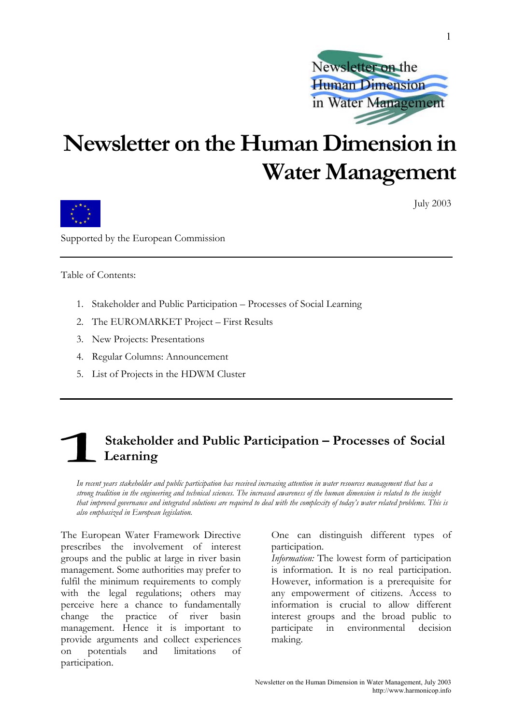

# **Newsletter on the Human Dimension in Water Management**



July 2003

Supported by the European Commission

Table of Contents:

- 1. Stakeholder and Public Participation Processes of Social Learning
- 2. The EUROMARKET Project First Results
- 3. New Projects: Presentations
- 4. Regular Columns: Announcement
- 5. List of Projects in the HDWM Cluster

### **Stakeholder and Public Participation – Processes of Social Learning**

*In recent years stakeholder and public participation has received increasing attention in water resources management that has a strong tradition in the engineering and technical sciences. The increased awareness of the human dimension is related to the insight that improved governance and integrated solutions are required to deal with the complexity of today's water related problems. This is also emphasized in European legislation.* 

The European Water Framework Directive prescribes the involvement of interest groups and the public at large in river basin management. Some authorities may prefer to fulfil the minimum requirements to comply with the legal regulations; others may perceive here a chance to fundamentally change the practice of river basin management. Hence it is important to provide arguments and collect experiences on potentials and limitations of participation.

One can distinguish different types of participation.

*Information:* The lowest form of participation is information. It is no real participation. However, information is a prerequisite for any empowerment of citizens. Access to information is crucial to allow different interest groups and the broad public to participate in environmental decision making.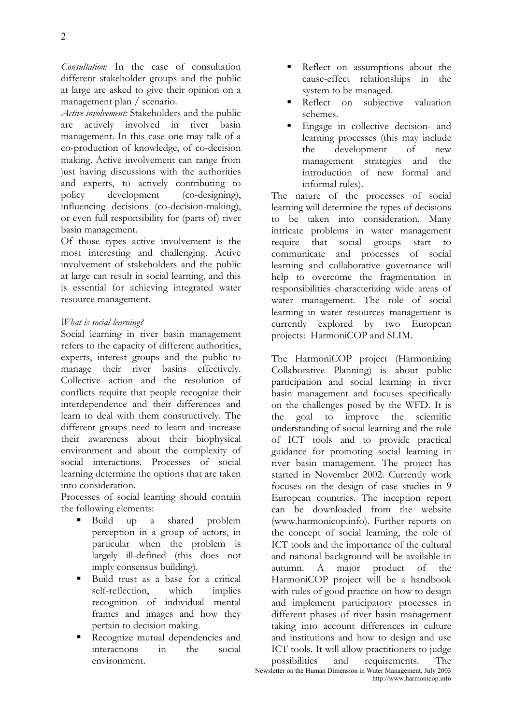*Consultation:* In the case of consultation different stakeholder groups and the public at large are asked to give their opinion on a management plan / scenario.

*Active involvement:* Stakeholders and the public are actively involved in river basin management. In this case one may talk of a co-production of knowledge, of co-decision making. Active involvement can range from just having discussions with the authorities and experts, to actively contributing to<br>policy development (co-designing). development (co-designing), influencing decisions (co-decision-making), or even full responsibility for (parts of) river basin management.

Of those types active involvement is the most interesting and challenging. Active involvement of stakeholders and the public at large can result in social learning, and this is essential for achieving integrated water resource management.

#### *What is social learning?*

Social learning in river basin management refers to the capacity of different authorities, experts, interest groups and the public to manage their river basins effectively. Collective action and the resolution of conflicts require that people recognize their interdependence and their differences and learn to deal with them constructively. The different groups need to learn and increase their awareness about their biophysical environment and about the complexity of social interactions. Processes of social learning determine the options that are taken into consideration.

Processes of social learning should contain the following elements:

- Build up a shared problem perception in a group of actors, in particular when the problem is largely ill-defined (this does not imply consensus building).
- Build trust as a base for a critical self-reflection, which implies recognition of individual mental frames and images and how they pertain to decision making.
- Recognize mutual dependencies and interactions in the social environment.
- Reflect on assumptions about the cause-effect relationships in the system to be managed.
- Reflect on subjective valuation schemes.
- Engage in collective decision- and learning processes (this may include the development of new management strategies and the introduction of new formal and informal rules).

The nature of the processes of social learning will determine the types of decisions to be taken into consideration. Many intricate problems in water management require that social groups start to communicate and processes of social learning and collaborative governance will help to overcome the fragmentation in responsibilities characterizing wide areas of water management. The role of social learning in water resources management is currently explored by two European projects: HarmoniCOP and SLIM.

Newsletter on the Human Dimension in Water Management, July 2003 The HarmoniCOP project (Harmonizing Collaborative Planning) is about public participation and social learning in river basin management and focuses specifically on the challenges posed by the WFD. It is the goal to improve the scientific understanding of social learning and the role of ICT tools and to provide practical guidance for promoting social learning in river basin management. The project has started in November 2002. Currently work focuses on the design of case studies in 9 European countries. The inception report can be downloaded from the website (www.harmonicop.info). Further reports on the concept of social learning, the role of ICT tools and the importance of the cultural and national background will be available in autumn. A major product of the HarmoniCOP project will be a handbook with rules of good practice on how to design and implement participatory processes in different phases of river basin management taking into account differences in culture and institutions and how to design and use ICT tools. It will allow practitioners to judge possibilities and requirements. The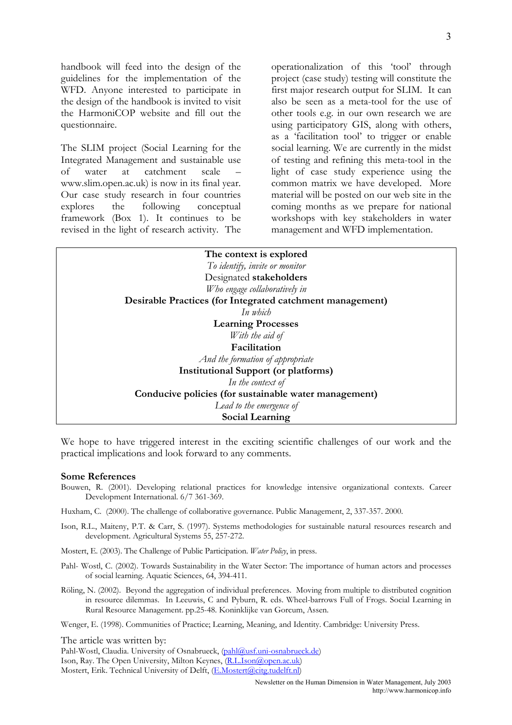handbook will feed into the design of the guidelines for the implementation of the WFD. Anyone interested to participate in the design of the handbook is invited to visit the HarmoniCOP website and fill out the questionnaire.

The SLIM project (Social Learning for the Integrated Management and sustainable use of water at catchment scale – www.slim.open.ac.uk) is now in its final year. Our case study research in four countries explores the following conceptual framework (Box 1). It continues to be revised in the light of research activity. The operationalization of this 'tool' through project (case study) testing will constitute the first major research output for SLIM. It can also be seen as a meta-tool for the use of other tools e.g. in our own research we are using participatory GIS, along with others, as a 'facilitation tool' to trigger or enable social learning. We are currently in the midst of testing and refining this meta-tool in the light of case study experience using the common matrix we have developed. More material will be posted on our web site in the coming months as we prepare for national workshops with key stakeholders in water management and WFD implementation.

| The context is explored                                   |  |  |  |  |
|-----------------------------------------------------------|--|--|--|--|
| To identify, invite or monitor                            |  |  |  |  |
| Designated stakeholders                                   |  |  |  |  |
| Who engage collaboratively in                             |  |  |  |  |
| Desirable Practices (for Integrated catchment management) |  |  |  |  |
| In which                                                  |  |  |  |  |
| <b>Learning Processes</b>                                 |  |  |  |  |
| With the aid of                                           |  |  |  |  |
| Facilitation                                              |  |  |  |  |
| And the formation of appropriate                          |  |  |  |  |
| <b>Institutional Support (or platforms)</b>               |  |  |  |  |
| In the context of                                         |  |  |  |  |
| Conducive policies (for sustainable water management)     |  |  |  |  |
| Lead to the emergence of                                  |  |  |  |  |
| Social Learning                                           |  |  |  |  |
|                                                           |  |  |  |  |

We hope to have triggered interest in the exciting scientific challenges of our work and the practical implications and look forward to any comments.

#### **Some References**

Bouwen, R. (2001). Developing relational practices for knowledge intensive organizational contexts. Career Development International. 6/7 361-369.

Huxham, C. (2000). The challenge of collaborative governance. Public Management, 2, 337-357. 2000.

- Ison, R.L., Maiteny, P.T. & Carr, S. (1997). Systems methodologies for sustainable natural resources research and development. Agricultural Systems 55, 257-272.
- Mostert, E. (2003). The Challenge of Public Participation. *Water Policy*, in press.
- Pahl- Wostl, C. (2002). Towards Sustainability in the Water Sector: The importance of human actors and processes of social learning. Aquatic Sciences, 64, 394-411.
- Röling, N. (2002). Beyond the aggregation of individual preferences. Moving from multiple to distributed cognition in resource dilemmas. In Leeuwis, C and Pyburn, R. eds. Wheel-barrows Full of Frogs. Social Learning in Rural Resource Management. pp.25-48. Koninklijke van Gorcum, Assen.

Wenger, E. (1998). Communities of Practice; Learning, Meaning, and Identity. Cambridge: University Press.

The article was written by:

Pahl-Wostl, Claudia. University of Osnabrueck, [\(pahl@usf.uni-osnabrueck.de](mailto:pahl@usf.uni-osnabrueck.de)) Ison, Ray. The Open University, Milton Keynes, [\(R.L.Ison@open.ac.uk\)](mailto:R.L.Ison@open.ac.uk) Mostert, Erik. Technical University of Delft, ([E.Mostert@citg.tudelft.nl\)](mailto:E.Mostert@citg.tudelft.nl)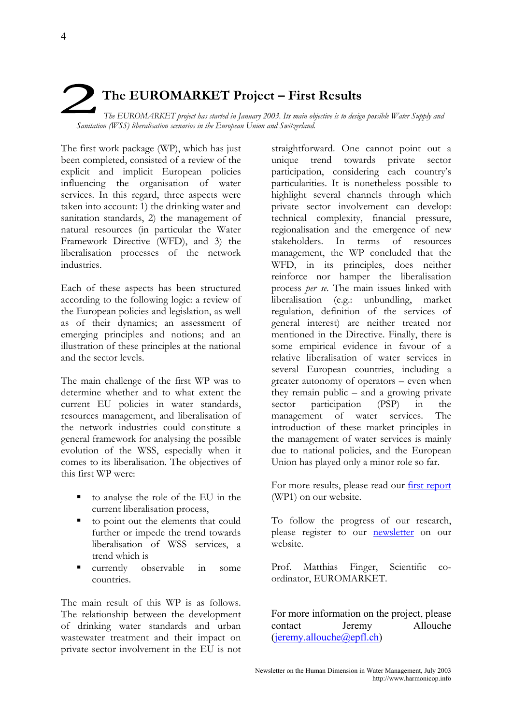## **The EUROMARKET Project – First Results**  *The EUROMARKET project has started in January 2003. Its main objective is to design possible Water Supply and Sanitation (WSS) liberalisation scenarios in the European Union and Switzerland.*

The first work package (WP), which has just been completed, consisted of a review of the explicit and implicit European policies influencing the organisation of water services. In this regard, three aspects were taken into account: 1) the drinking water and sanitation standards, 2) the management of natural resources (in particular the Water Framework Directive (WFD), and 3) the liberalisation processes of the network industries.

Each of these aspects has been structured according to the following logic: a review of the European policies and legislation, as well as of their dynamics; an assessment of emerging principles and notions; and an illustration of these principles at the national and the sector levels.

The main challenge of the first WP was to determine whether and to what extent the current EU policies in water standards, resources management, and liberalisation of the network industries could constitute a general framework for analysing the possible evolution of the WSS, especially when it comes to its liberalisation. The objectives of this first WP were:

- to analyse the role of the EU in the current liberalisation process,
- to point out the elements that could further or impede the trend towards liberalisation of WSS services, a trend which is
- currently observable in some countries.

The main result of this WP is as follows. The relationship between the development of drinking water standards and urban wastewater treatment and their impact on private sector involvement in the EU is not

straightforward. One cannot point out a unique trend towards private sector participation, considering each country's particularities. It is nonetheless possible to highlight several channels through which private sector involvement can develop: technical complexity, financial pressure, regionalisation and the emergence of new stakeholders. In terms of resources management, the WP concluded that the WFD, in its principles, does neither reinforce nor hamper the liberalisation process *per se*. The main issues linked with liberalisation (e.g.: unbundling, market regulation, definition of the services of general interest) are neither treated nor mentioned in the Directive. Finally, there is some empirical evidence in favour of a relative liberalisation of water services in several European countries, including a greater autonomy of operators – even when they remain public – and a growing private sector participation (PSP) in the management of water services. The introduction of these market principles in the management of water services is mainly due to national policies, and the European Union has played only a minor role so far.

For more results, please read our **first report** (WP1) on our website.

To follow the progress of our research, please register to our [newsletter](http://mir.epfl.ch/euromarket/) on our website.

Prof. Matthias Finger, Scientific coordinator, EUROMARKET.

For more information on the project, please contact Jeremy Allouche [\(jeremy.allouche@epfl.ch\)](mailto:jeremy.allouche@epfl.ch)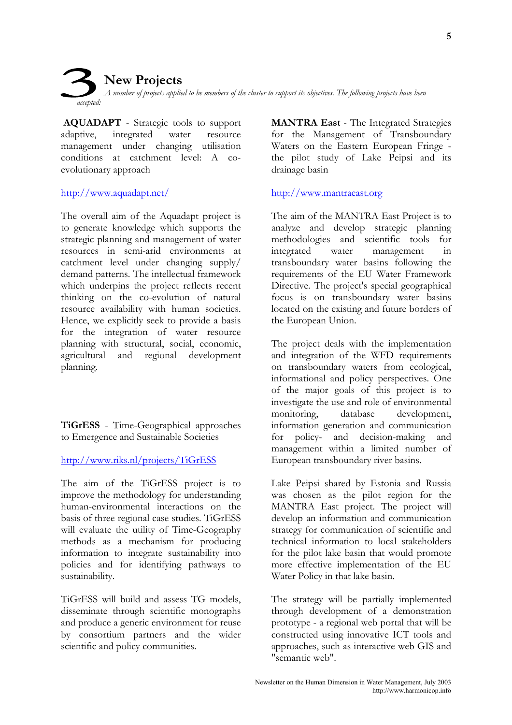**New Projects**  *A number of projects applied to be members of the cluster to support its objectives. The following projects have been accepted:* 

**AQUADAPT** - Strategic tools to support adaptive, integrated water resource management under changing utilisation conditions at catchment level: A coevolutionary approach

#### <http://www.aquadapt.net/>

The overall aim of the Aquadapt project is to generate knowledge which supports the strategic planning and management of water resources in semi-arid environments at catchment level under changing supply/ demand patterns. The intellectual framework which underpins the project reflects recent thinking on the co-evolution of natural resource availability with human societies. Hence, we explicitly seek to provide a basis for the integration of water resource planning with structural, social, economic, agricultural and regional development planning.

**TiGrESS** - Time-Geographical approaches to Emergence and Sustainable Societies

#### <http://www.riks.nl/projects/TiGrESS>

The aim of the TiGrESS project is to improve the methodology for understanding human-environmental interactions on the basis of three regional case studies. TiGrESS will evaluate the utility of Time-Geography methods as a mechanism for producing information to integrate sustainability into policies and for identifying pathways to sustainability.

TiGrESS will build and assess TG models, disseminate through scientific monographs and produce a generic environment for reuse by consortium partners and the wider scientific and policy communities.

**MANTRA East** - The Integrated Strategies for the Management of Transboundary Waters on the Eastern European Fringe the pilot study of Lake Peipsi and its drainage basin

#### <http://www.mantraeast.org>

The aim of the MANTRA East Project is to analyze and develop strategic planning methodologies and scientific tools for integrated water management in transboundary water basins following the requirements of the EU Water Framework Directive. The project's special geographical focus is on transboundary water basins located on the existing and future borders of the European Union.

The project deals with the implementation and integration of the WFD requirements on transboundary waters from ecological, informational and policy perspectives. One of the major goals of this project is to investigate the use and role of environmental monitoring, database development, information generation and communication for policy- and decision-making and management within a limited number of European transboundary river basins.

Lake Peipsi shared by Estonia and Russia was chosen as the pilot region for the MANTRA East project. The project will develop an information and communication strategy for communication of scientific and technical information to local stakeholders for the pilot lake basin that would promote more effective implementation of the EU Water Policy in that lake basin.

The strategy will be partially implemented through development of a demonstration prototype - a regional web portal that will be constructed using innovative ICT tools and approaches, such as interactive web GIS and "semantic web".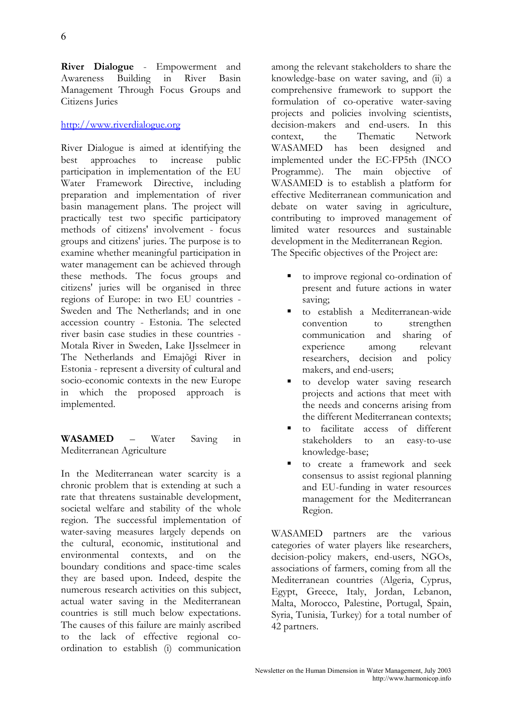**River Dialogue** - Empowerment and Awareness Building in River Basin Management Through Focus Groups and Citizens Juries

#### <http://www.riverdialogue.org>

River Dialogue is aimed at identifying the best approaches to increase public participation in implementation of the EU Water Framework Directive, including preparation and implementation of river basin management plans. The project will practically test two specific participatory methods of citizens' involvement - focus groups and citizens' juries. The purpose is to examine whether meaningful participation in water management can be achieved through these methods. The focus groups and citizens' juries will be organised in three regions of Europe: in two EU countries - Sweden and The Netherlands; and in one accession country - Estonia. The selected river basin case studies in these countries - Motala River in Sweden, Lake IJsselmeer in The Netherlands and Emajõgi River in Estonia - represent a diversity of cultural and socio-economic contexts in the new Europe in which the proposed approach is implemented.

**WASAMED** – Water Saving in Mediterranean Agriculture

In the Mediterranean water scarcity is a chronic problem that is extending at such a rate that threatens sustainable development, societal welfare and stability of the whole region. The successful implementation of water-saving measures largely depends on the cultural, economic, institutional and environmental contexts, and on the boundary conditions and space-time scales they are based upon. Indeed, despite the numerous research activities on this subject, actual water saving in the Mediterranean countries is still much below expectations. The causes of this failure are mainly ascribed to the lack of effective regional coordination to establish (i) communication

among the relevant stakeholders to share the knowledge-base on water saving, and (ii) a comprehensive framework to support the formulation of co-operative water-saving projects and policies involving scientists, decision-makers and end-users. In this context, the Thematic Network WASAMED has been designed and implemented under the EC-FP5th (INCO Programme). The main objective of WASAMED is to establish a platform for effective Mediterranean communication and debate on water saving in agriculture, contributing to improved management of limited water resources and sustainable development in the Mediterranean Region. The Specific objectives of the Project are:

- to improve regional co-ordination of present and future actions in water saving;
- to establish a Mediterranean-wide convention to strengthen communication and sharing of experience among relevant researchers, decision and policy makers, and end-users;
- to develop water saving research projects and actions that meet with the needs and concerns arising from the different Mediterranean contexts;
- to facilitate access of different stakeholders to an easy-to-use knowledge-base;
- to create a framework and seek consensus to assist regional planning and EU-funding in water resources management for the Mediterranean Region.

WASAMED partners are the various categories of water players like researchers, decision-policy makers, end-users, NGOs, associations of farmers, coming from all the Mediterranean countries (Algeria, Cyprus, Egypt, Greece, Italy, Jordan, Lebanon, Malta, Morocco, Palestine, Portugal, Spain, Syria, Tunisia, Turkey) for a total number of 42 partners.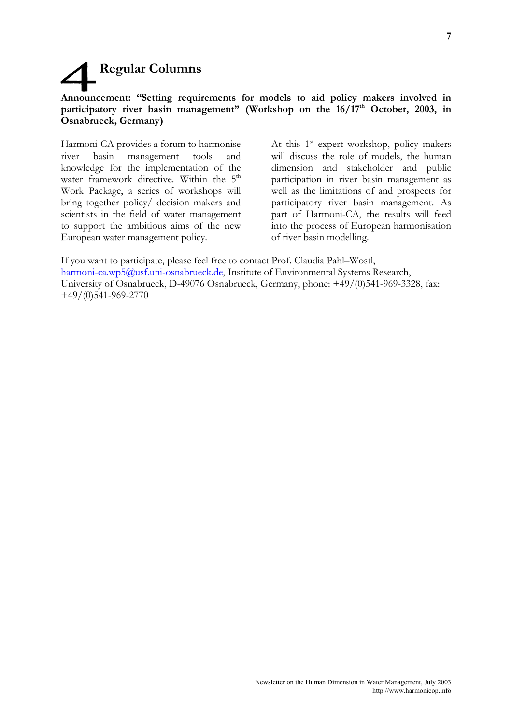# **Regular Columns**

#### **Announcement: "Setting requirements for models to aid policy makers involved in**  participatory river basin management" (Workshop on the 16/17<sup>th</sup> October, 2003, in **Osnabrueck, Germany)**

Harmoni-CA provides a forum to harmonise river basin management tools and knowledge for the implementation of the water framework directive. Within the  $5<sup>th</sup>$ Work Package, a series of workshops will bring together policy/ decision makers and scientists in the field of water management to support the ambitious aims of the new European water management policy.

At this  $1<sup>st</sup>$  expert workshop, policy makers will discuss the role of models, the human dimension and stakeholder and public participation in river basin management as well as the limitations of and prospects for participatory river basin management. As part of Harmoni-CA, the results will feed into the process of European harmonisation of river basin modelling.

If you want to participate, please feel free to contact Prof. Claudia Pahl–Wostl, [harmoni-ca.wp5@usf.uni-osnabrueck.de,](mailto:harmoni-ca.wp5@usf.uni-osnabrueck.de) Institute of Environmental Systems Research, University of Osnabrueck, D-49076 Osnabrueck, Germany, phone: +49/(0)541-969-3328, fax: +49/(0)541-969-2770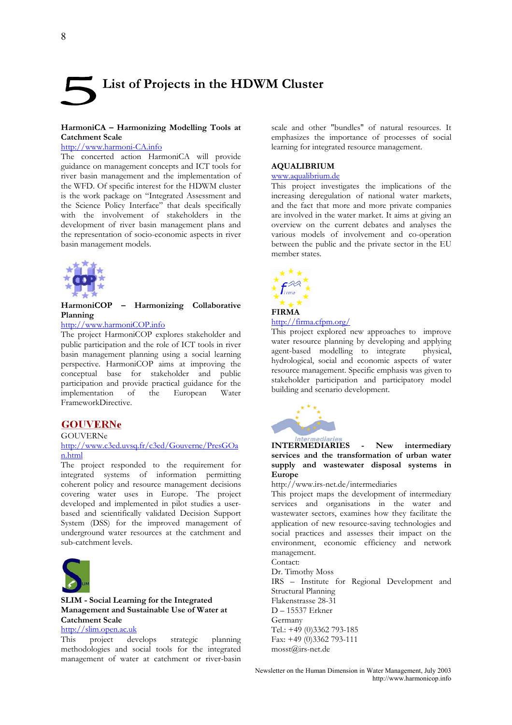# **List of Projects in the HDWM Cluster**

#### **HarmoniCA – Harmonizing Modelling Tools at Catchment Scale**

#### <http://www.harmoni-CA.info>

The concerted action HarmoniCA will provide guidance on management concepts and ICT tools for river basin management and the implementation of the WFD. Of specific interest for the HDWM cluster is the work package on "Integrated Assessment and the Science Policy Interface" that deals specifically with the involvement of stakeholders in the development of river basin management plans and the representation of socio-economic aspects in river basin management models.



**HarmoniCOP – Harmonizing Collaborative Planning** 

#### <http://www.harmoniCOP.info>

The project HarmoniCOP explores stakeholder and public participation and the role of ICT tools in river basin management planning using a social learning perspective. HarmoniCOP aims at improving the conceptual base for stakeholder and public participation and provide practical guidance for the implementation of the European Water FrameworkDirective.

#### **GOUVERNe**

#### GOUVERNe

#### <http://www.c3ed.uvsq.fr/c3ed/Gouverne/PresGOa> n.html

The project responded to the requirement for integrated systems of information permitting coherent policy and resource management decisions covering water uses in Europe. The project developed and implemented in pilot studies a userbased and scientifically validated Decision Support System (DSS) for the improved management of underground water resources at the catchment and sub-catchment levels.



#### **SLIM - Social Learning for the Integrated Management and Sustainable Use of Water at Catchment Scale**

## http://slim.open.ac.uk<br>This project dev

project develops strategic planning methodologies and social tools for the integrated management of water at catchment or river-basin scale and other "bundles" of natural resources. It emphasizes the importance of processes of social learning for integrated resource management.

#### **AQUALIBRIUM**

#### [www.aqualibrium.de](http://www.aqualibrium.de)

This project investigates the implications of the increasing deregulation of national water markets, and the fact that more and more private companies are involved in the water market. It aims at giving an overview on the current debates and analyses the various models of involvement and co-operation between the public and the private sector in the EU member states.



#### <http://firma.cfpm.org/>

This project explored new approaches to improve water resource planning by developing and applying agent-based modelling to integrate physical, hydrological, social and economic aspects of water resource management. Specific emphasis was given to stakeholder participation and participatory model building and scenario development.



#### **INTERMEDIARIES - New intermediary services and the transformation of urban water supply and wastewater disposal systems in Europe**

#### <http://www.irs-net.de/intermediaries>

This project maps the development of intermediary services and organisations in the water and wastewater sectors, examines how they facilitate the application of new resource-saving technologies and social practices and assesses their impact on the environment, economic efficiency and network management.

Contact:

Dr. Timothy Moss IRS – Institute for Regional Development and

Structural Planning Flakenstrasse 28-31 D – 15537 Erkner Germany Tel.: +49 (0)3362 793-185 Fax: +49 (0)3362 793-111

[mosst@irs-net.de](mailto:mosst@irs-net.de) 

Newsletter on the Human Dimension in Water Management, July 2003 <http://www.harmonicop.info>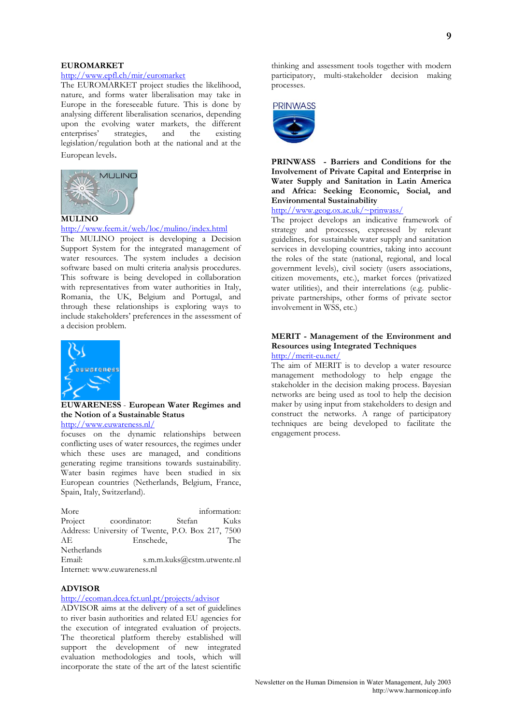#### **EUROMARKET**

#### <http://www.epfl.ch/mir/euromarket>

The EUROMARKET project studies the likelihood, nature, and forms water liberalisation may take in Europe in the foreseeable future. This is done by analysing different liberalisation scenarios, depending upon the evolving water markets, the different enterprises' strategies, and the existing legislation/regulation both at the national and at the European levels.



#### **MULINO**

#### <http://www.feem.it/web/loc/mulino/index.html>

The MULINO project is developing a Decision Support System for the integrated management of water resources. The system includes a decision software based on multi criteria analysis procedures. This software is being developed in collaboration with representatives from water authorities in Italy, Romania, the UK, Belgium and Portugal, and through these relationships is exploring ways to include stakeholders' preferences in the assessment of a decision problem.



**EUWARENESS** - **European Water Regimes and the Notion of a Sustainable Status** 

<http://www.euwareness.nl/>

focuses on the dynamic relationships between conflicting uses of water resources, the regimes under which these uses are managed, and conditions generating regime transitions towards sustainability. Water basin regimes have been studied in six European countries (Netherlands, Belgium, France, Spain, Italy, Switzerland).

| More                        |                                                   |        | information:               |  |
|-----------------------------|---------------------------------------------------|--------|----------------------------|--|
|                             | Project coordinator:                              | Stefan | Kuks                       |  |
|                             | Address: University of Twente, P.O. Box 217, 7500 |        |                            |  |
| AE                          | Enschede,                                         |        | The                        |  |
| Netherlands                 |                                                   |        |                            |  |
| Email:                      |                                                   |        | s.m.m.kuks@cstm.utwente.nl |  |
| Internet: www.euwareness.nl |                                                   |        |                            |  |

#### **ADVISOR**

#### <http://ecoman.dcea.fct.unl.pt/projects/advisor>

ADVISOR aims at the delivery of a set of guidelines to river basin authorities and related EU agencies for the execution of integrated evaluation of projects. The theoretical platform thereby established will support the development of new integrated evaluation methodologies and tools, which will incorporate the state of the art of the latest scientific

thinking and assessment tools together with modern participatory, multi-stakeholder decision making processes.



**PRINWASS - Barriers and Conditions for the Involvement of Private Capital and Enterprise in Water Supply and Sanitation in Latin America and Africa: Seeking Economic, Social, and Environmental Sustainability** 

<http://www.geog.ox.ac.uk/~prinwass/>

The project develops an indicative framework of strategy and processes, expressed by relevant guidelines, for sustainable water supply and sanitation services in developing countries, taking into account the roles of the state (national, regional, and local government levels), civil society (users associations, citizen movements, etc.), market forces (privatized water utilities), and their interrelations (e.g. publicprivate partnerships, other forms of private sector involvement in WSS, etc.)

#### **MERIT - Management of the Environment and Resources using Integrated Techniques**  <http://merit-eu.net/>

The aim of MERIT is to develop a water resource management methodology to help engage the stakeholder in the decision making process. Bayesian networks are being used as tool to help the decision maker by using input from stakeholders to design and construct the networks. A range of participatory techniques are being developed to facilitate the engagement process.